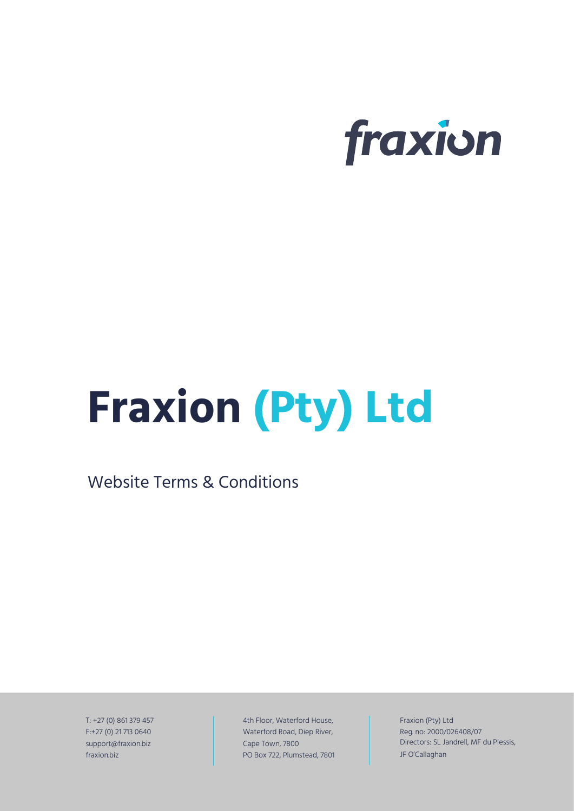

# **Fraxion (Pty) Ltd**

Website Terms & Conditions

T: +27 (0) 861 379 457 F:+27 (0) 21 713 0640 support@fraxion.biz fraxion.biz

4th Floor, Waterford House, Waterford Road, Diep River, Cape Town, 7800 PO Box 722, Plumstead, 7801 Fraxion (Pty) Ltd Reg. no: 2000/026408/07 Directors: SL Jandrell, MF du Plessis, JF O'Callaghan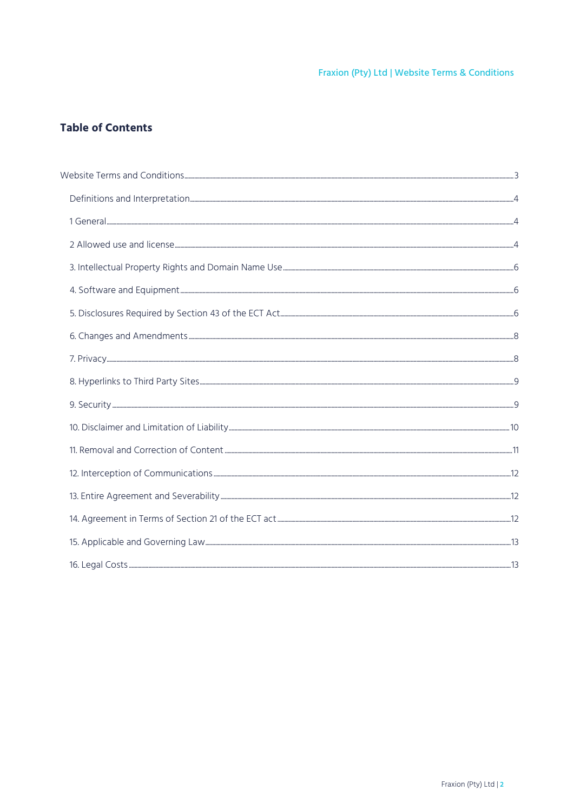# **Table of Contents**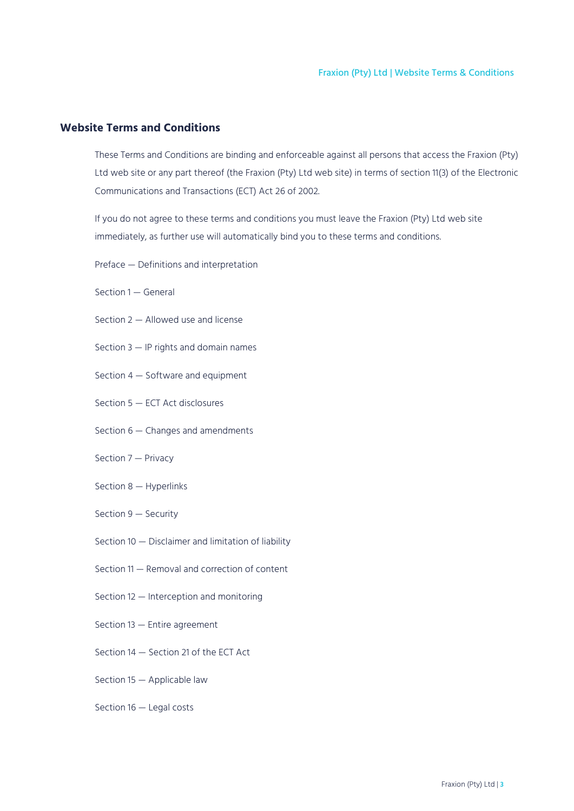# <span id="page-2-0"></span>**Website Terms and Conditions**

These Terms and Conditions are binding and enforceable against all persons that access the Fraxion (Pty) Ltd web site or any part thereof (the Fraxion (Pty) Ltd web site) in terms of section 11(3) of the Electronic Communications and Transactions (ECT) Act 26 of 2002.

If you do not agree to these terms and conditions you must leave the Fraxion (Pty) Ltd web site immediately, as further use will automatically bind you to these terms and conditions.

- Preface Definitions and interpretation
- Section 1 General
- Section 2 Allowed use and license
- Section 3 IP rights and domain names
- Section 4 Software and equipment
- Section 5 ECT Act disclosures
- Section 6 Changes and amendments
- Section 7 Privacy
- Section 8 Hyperlinks
- Section 9 Security
- Section 10 Disclaimer and limitation of liability
- Section 11 Removal and correction of content
- Section 12 Interception and monitoring
- Section 13 Entire agreement
- Section 14 Section 21 of the ECT Act
- Section 15 Applicable law
- Section 16 Legal costs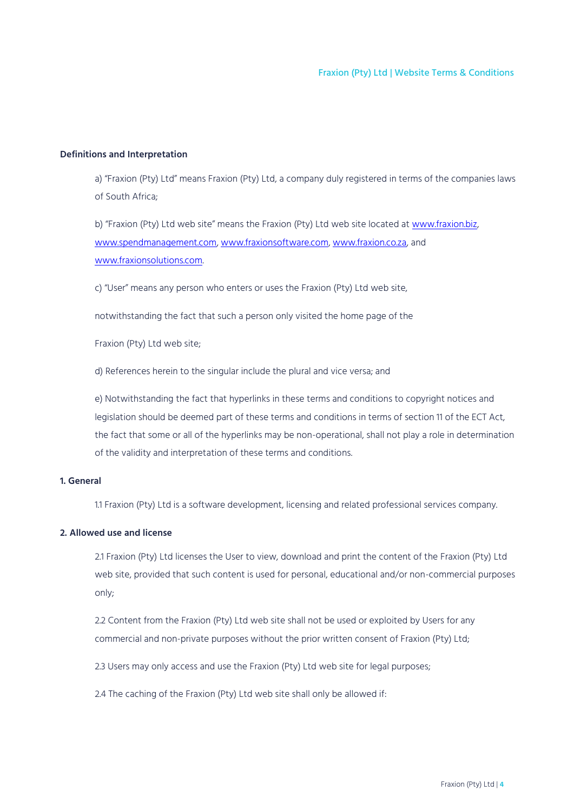# <span id="page-3-0"></span>**Definitions and Interpretation**

a) "Fraxion (Pty) Ltd" means Fraxion (Pty) Ltd, a company duly registered in terms of the companies laws of South Africa;

b) "Fraxion (Pty) Ltd web site" means the Fraxion (Pty) Ltd web site located at [www.fraxion.biz,](http://www.fraxion.biz/) [www.spendmanagement.com,](http://www.spendmanagement.com/) [www.fraxionsoftware.com,](http://www.fraxionsoftware.com/) [www.fraxion.co.za,](http://www.fraxion.co.za/) and [www.fraxionsolutions.com.](http://www.fraxionsolutions.com/)

c) "User" means any person who enters or uses the Fraxion (Pty) Ltd web site,

notwithstanding the fact that such a person only visited the home page of the

Fraxion (Pty) Ltd web site;

d) References herein to the singular include the plural and vice versa; and

e) Notwithstanding the fact that hyperlinks in these terms and conditions to copyright notices and legislation should be deemed part of these terms and conditions in terms of section 11 of the ECT Act, the fact that some or all of the hyperlinks may be non-operational, shall not play a role in determination of the validity and interpretation of these terms and conditions.

# <span id="page-3-1"></span>**1. General**

1.1 Fraxion (Pty) Ltd is a software development, licensing and related professional services company.

# <span id="page-3-2"></span>**2. Allowed use and license**

2.1 Fraxion (Pty) Ltd licenses the User to view, download and print the content of the Fraxion (Pty) Ltd web site, provided that such content is used for personal, educational and/or non-commercial purposes only;

2.2 Content from the Fraxion (Pty) Ltd web site shall not be used or exploited by Users for any commercial and non-private purposes without the prior written consent of Fraxion (Pty) Ltd;

2.3 Users may only access and use the Fraxion (Pty) Ltd web site for legal purposes;

2.4 The caching of the Fraxion (Pty) Ltd web site shall only be allowed if: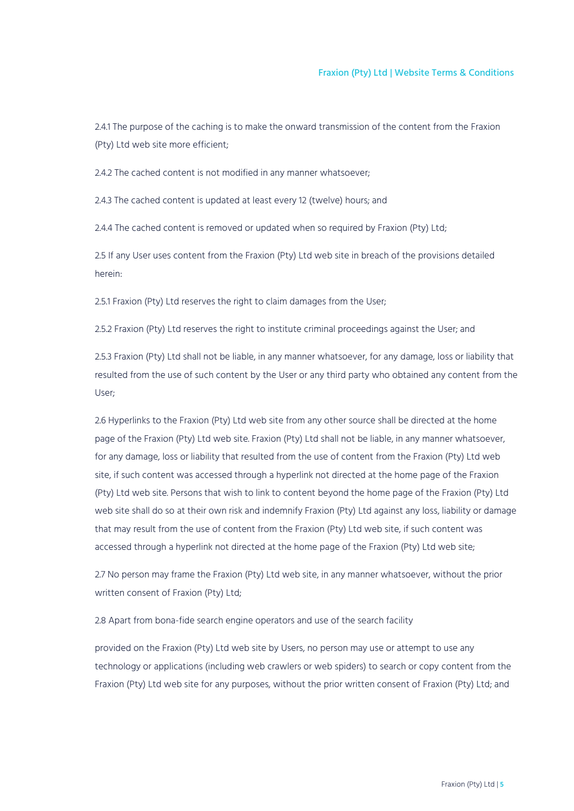2.4.1 The purpose of the caching is to make the onward transmission of the content from the Fraxion (Pty) Ltd web site more efficient;

2.4.2 The cached content is not modified in any manner whatsoever;

2.4.3 The cached content is updated at least every 12 (twelve) hours; and

2.4.4 The cached content is removed or updated when so required by Fraxion (Pty) Ltd;

2.5 If any User uses content from the Fraxion (Pty) Ltd web site in breach of the provisions detailed herein:

2.5.1 Fraxion (Pty) Ltd reserves the right to claim damages from the User;

2.5.2 Fraxion (Pty) Ltd reserves the right to institute criminal proceedings against the User; and

2.5.3 Fraxion (Pty) Ltd shall not be liable, in any manner whatsoever, for any damage, loss or liability that resulted from the use of such content by the User or any third party who obtained any content from the User;

2.6 Hyperlinks to the Fraxion (Pty) Ltd web site from any other source shall be directed at the home page of the Fraxion (Pty) Ltd web site. Fraxion (Pty) Ltd shall not be liable, in any manner whatsoever, for any damage, loss or liability that resulted from the use of content from the Fraxion (Pty) Ltd web site, if such content was accessed through a hyperlink not directed at the home page of the Fraxion (Pty) Ltd web site. Persons that wish to link to content beyond the home page of the Fraxion (Pty) Ltd web site shall do so at their own risk and indemnify Fraxion (Pty) Ltd against any loss, liability or damage that may result from the use of content from the Fraxion (Pty) Ltd web site, if such content was accessed through a hyperlink not directed at the home page of the Fraxion (Pty) Ltd web site;

2.7 No person may frame the Fraxion (Pty) Ltd web site, in any manner whatsoever, without the prior written consent of Fraxion (Pty) Ltd;

2.8 Apart from bona-fide search engine operators and use of the search facility

provided on the Fraxion (Pty) Ltd web site by Users, no person may use or attempt to use any technology or applications (including web crawlers or web spiders) to search or copy content from the Fraxion (Pty) Ltd web site for any purposes, without the prior written consent of Fraxion (Pty) Ltd; and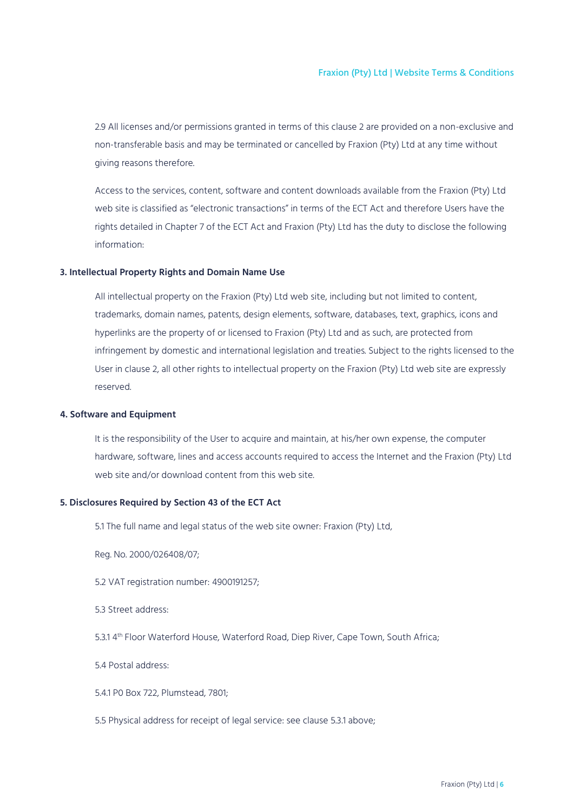2.9 All licenses and/or permissions granted in terms of this clause 2 are provided on a non-exclusive and non-transferable basis and may be terminated or cancelled by Fraxion (Pty) Ltd at any time without giving reasons therefore.

Access to the services, content, software and content downloads available from the Fraxion (Pty) Ltd web site is classified as "electronic transactions" in terms of the ECT Act and therefore Users have the rights detailed in Chapter 7 of the ECT Act and Fraxion (Pty) Ltd has the duty to disclose the following information:

# <span id="page-5-0"></span>**3. Intellectual Property Rights and Domain Name Use**

All intellectual property on the Fraxion (Pty) Ltd web site, including but not limited to content, trademarks, domain names, patents, design elements, software, databases, text, graphics, icons and hyperlinks are the property of or licensed to Fraxion (Pty) Ltd and as such, are protected from infringement by domestic and international legislation and treaties. Subject to the rights licensed to the User in clause 2, all other rights to intellectual property on the Fraxion (Pty) Ltd web site are expressly reserved.

# <span id="page-5-1"></span>**4. Software and Equipment**

It is the responsibility of the User to acquire and maintain, at his/her own expense, the computer hardware, software, lines and access accounts required to access the Internet and the Fraxion (Pty) Ltd web site and/or download content from this web site.

#### <span id="page-5-2"></span>**5. Disclosures Required by Section 43 of the ECT Act**

5.1 The full name and legal status of the web site owner: Fraxion (Pty) Ltd,

Reg. No. 2000/026408/07;

5.2 VAT registration number: 4900191257;

5.3 Street address:

5.3.1 4 th Floor Waterford House, Waterford Road, Diep River, Cape Town, South Africa;

5.4 Postal address:

5.4.1 P0 Box 722, Plumstead, 7801;

5.5 Physical address for receipt of legal service: see clause 5.3.1 above;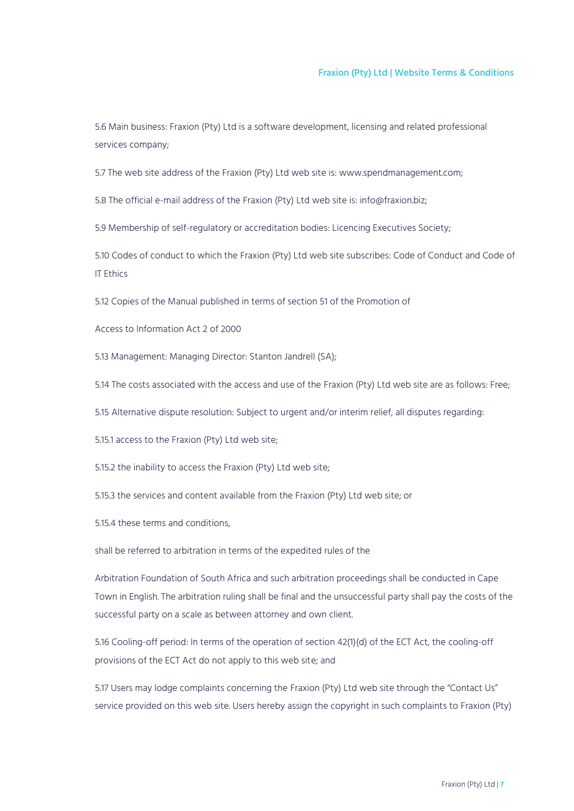5.6 Main business: Fraxion (Pty) Ltd is a software development, licensing and related professional services company;

5.7 The web site address of the Fraxion (Pty) Ltd web site is: www.spendmanagement.com;

5.8 The official e-mail address of the Fraxion (Pty) Ltd web site is: info@fraxion.biz;

5.9 Membership of self-regulatory or accreditation bodies: Licencing Executives Society;

5.10 Codes of conduct to which the Fraxion (Pty) Ltd web site subscribes: Code of Conduct and Code of IT Ethics

5.12 Copies of the Manual published in terms of section 51 of the Promotion of

Access to Information Act 2 of 2000

5.13 Management: Managing Director: Stanton Jandrell (SA);

5.14 The costs associated with the access and use of the Fraxion (Pty) Ltd web site are as follows: Free;

5.15 Alternative dispute resolution: Subject to urgent and/or interim relief, all disputes regarding:

5.15.1 access to the Fraxion (Pty) Ltd web site;

5.15.2 the inability to access the Fraxion (Pty) Ltd web site;

5.15.3 the services and content available from the Fraxion (Pty) Ltd web site; or

5.15.4 these terms and conditions,

shall be referred to arbitration in terms of the expedited rules of the

Arbitration Foundation of South Africa and such arbitration proceedings shall be conducted in Cape Town in English. The arbitration ruling shall be final and the unsuccessful party shall pay the costs of the successful party on a scale as between attorney and own client.

5.16 Cooling-off period: In terms of the operation of section 42(1)(d) of the ECT Act, the cooling-off provisions of the ECT Act do not apply to this web site; and

5.17 Users may lodge complaints concerning the Fraxion (Pty) Ltd web site through the "Contact Us" service provided on this web site. Users hereby assign the copyright in such complaints to Fraxion (Pty)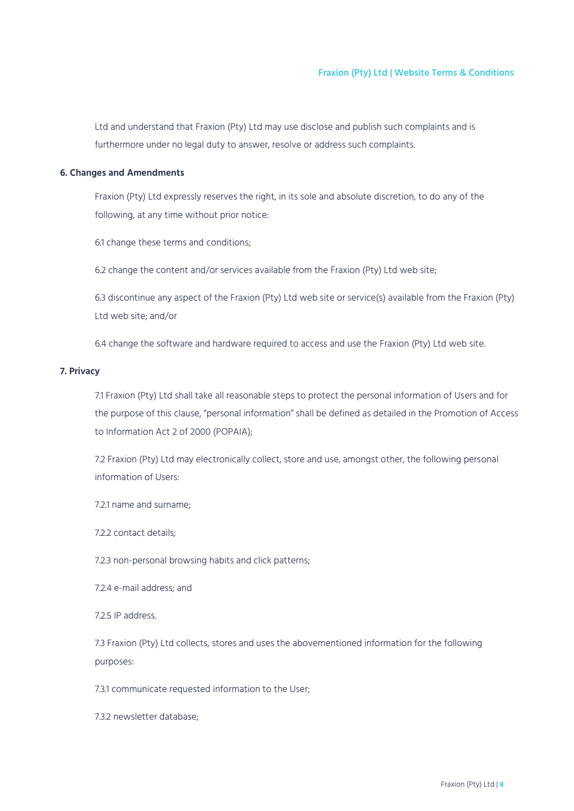Ltd and understand that Fraxion (Pty) Ltd may use disclose and publish such complaints and is furthermore under no legal duty to answer, resolve or address such complaints.

# <span id="page-7-0"></span>**6. Changes and Amendments**

Fraxion (Pty) Ltd expressly reserves the right, in its sole and absolute discretion, to do any of the following, at any time without prior notice:

6.1 change these terms and conditions;

6.2 change the content and/or services available from the Fraxion (Pty) Ltd web site;

6.3 discontinue any aspect of the Fraxion (Pty) Ltd web site or service(s) available from the Fraxion (Pty) Ltd web site; and/or

6.4 change the software and hardware required to access and use the Fraxion (Pty) Ltd web site.

# <span id="page-7-1"></span>**7. Privacy**

7.1 Fraxion (Pty) Ltd shall take all reasonable steps to protect the personal information of Users and for the purpose of this clause, "personal information" shall be defined as detailed in the Promotion of Access to Information Act 2 of 2000 (POPAIA);

7.2 Fraxion (Pty) Ltd may electronically collect, store and use, amongst other, the following personal information of Users:

7.2.1 name and surname;

7.2.2 contact details;

7.2.3 non-personal browsing habits and click patterns;

7.2.4 e-mail address; and

7.2.5 IP address.

7.3 Fraxion (Pty) Ltd collects, stores and uses the abovementioned information for the following purposes:

7.3.1 communicate requested information to the User;

7.3.2 newsletter database;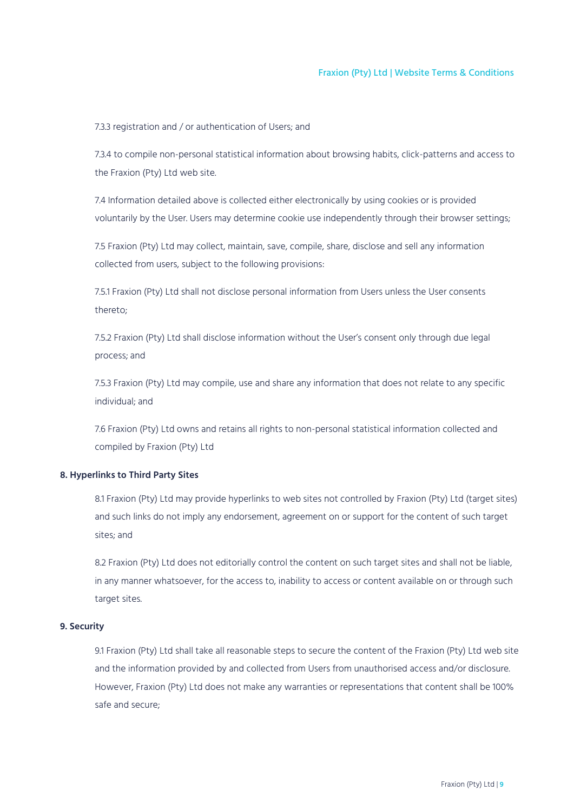7.3.3 registration and / or authentication of Users; and

7.3.4 to compile non-personal statistical information about browsing habits, click-patterns and access to the Fraxion (Pty) Ltd web site.

7.4 Information detailed above is collected either electronically by using cookies or is provided voluntarily by the User. Users may determine cookie use independently through their browser settings;

7.5 Fraxion (Pty) Ltd may collect, maintain, save, compile, share, disclose and sell any information collected from users, subject to the following provisions:

7.5.1 Fraxion (Pty) Ltd shall not disclose personal information from Users unless the User consents thereto;

7.5.2 Fraxion (Pty) Ltd shall disclose information without the User's consent only through due legal process; and

7.5.3 Fraxion (Pty) Ltd may compile, use and share any information that does not relate to any specific individual; and

7.6 Fraxion (Pty) Ltd owns and retains all rights to non-personal statistical information collected and compiled by Fraxion (Pty) Ltd

# <span id="page-8-0"></span>**8. Hyperlinks to Third Party Sites**

8.1 Fraxion (Pty) Ltd may provide hyperlinks to web sites not controlled by Fraxion (Pty) Ltd (target sites) and such links do not imply any endorsement, agreement on or support for the content of such target sites; and

8.2 Fraxion (Pty) Ltd does not editorially control the content on such target sites and shall not be liable, in any manner whatsoever, for the access to, inability to access or content available on or through such target sites.

# <span id="page-8-1"></span>**9. Security**

9.1 Fraxion (Pty) Ltd shall take all reasonable steps to secure the content of the Fraxion (Pty) Ltd web site and the information provided by and collected from Users from unauthorised access and/or disclosure. However, Fraxion (Pty) Ltd does not make any warranties or representations that content shall be 100% safe and secure;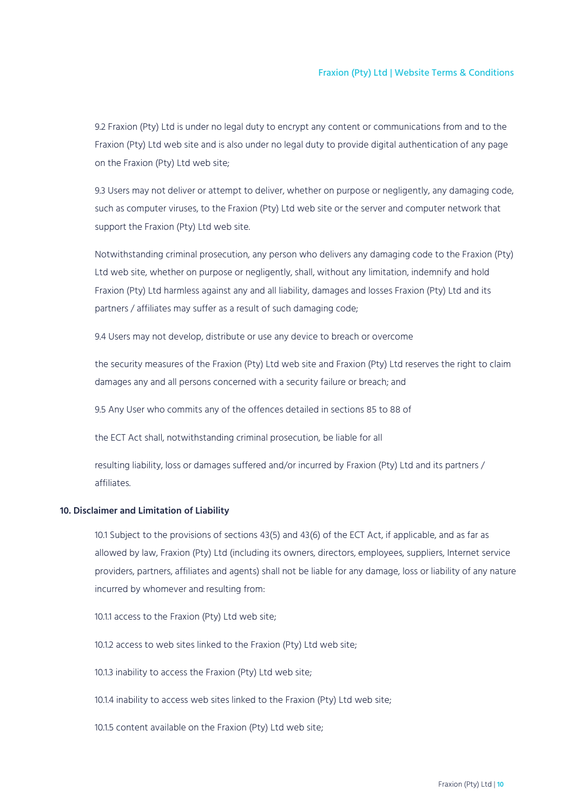9.2 Fraxion (Pty) Ltd is under no legal duty to encrypt any content or communications from and to the Fraxion (Pty) Ltd web site and is also under no legal duty to provide digital authentication of any page on the Fraxion (Pty) Ltd web site;

9.3 Users may not deliver or attempt to deliver, whether on purpose or negligently, any damaging code, such as computer viruses, to the Fraxion (Pty) Ltd web site or the server and computer network that support the Fraxion (Pty) Ltd web site.

Notwithstanding criminal prosecution, any person who delivers any damaging code to the Fraxion (Pty) Ltd web site, whether on purpose or negligently, shall, without any limitation, indemnify and hold Fraxion (Pty) Ltd harmless against any and all liability, damages and losses Fraxion (Pty) Ltd and its partners / affiliates may suffer as a result of such damaging code;

9.4 Users may not develop, distribute or use any device to breach or overcome

the security measures of the Fraxion (Pty) Ltd web site and Fraxion (Pty) Ltd reserves the right to claim damages any and all persons concerned with a security failure or breach; and

9.5 Any User who commits any of the offences detailed in sections 85 to 88 of

the ECT Act shall, notwithstanding criminal prosecution, be liable for all

resulting liability, loss or damages suffered and/or incurred by Fraxion (Pty) Ltd and its partners / affiliates.

# <span id="page-9-0"></span>**10. Disclaimer and Limitation of Liability**

10.1 Subject to the provisions of sections 43(5) and 43(6) of the ECT Act, if applicable, and as far as allowed by law, Fraxion (Pty) Ltd (including its owners, directors, employees, suppliers, Internet service providers, partners, affiliates and agents) shall not be liable for any damage, loss or liability of any nature incurred by whomever and resulting from:

10.1.1 access to the Fraxion (Pty) Ltd web site;

10.1.2 access to web sites linked to the Fraxion (Pty) Ltd web site;

10.1.3 inability to access the Fraxion (Pty) Ltd web site;

10.1.4 inability to access web sites linked to the Fraxion (Pty) Ltd web site;

10.1.5 content available on the Fraxion (Pty) Ltd web site;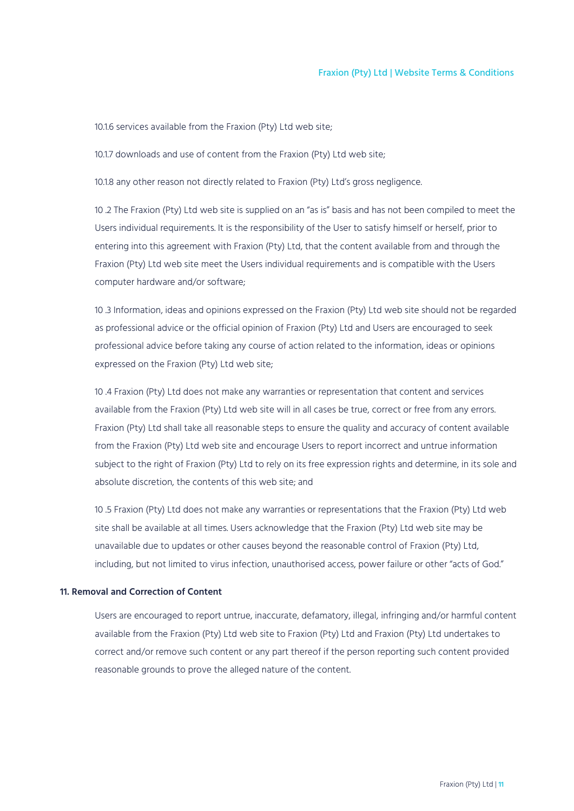10.1.6 services available from the Fraxion (Pty) Ltd web site;

10.1.7 downloads and use of content from the Fraxion (Pty) Ltd web site;

10.1.8 any other reason not directly related to Fraxion (Pty) Ltd's gross negligence.

10 .2 The Fraxion (Pty) Ltd web site is supplied on an "as is" basis and has not been compiled to meet the Users individual requirements. It is the responsibility of the User to satisfy himself or herself, prior to entering into this agreement with Fraxion (Pty) Ltd, that the content available from and through the Fraxion (Pty) Ltd web site meet the Users individual requirements and is compatible with the Users computer hardware and/or software;

10 .3 Information, ideas and opinions expressed on the Fraxion (Pty) Ltd web site should not be regarded as professional advice or the official opinion of Fraxion (Pty) Ltd and Users are encouraged to seek professional advice before taking any course of action related to the information, ideas or opinions expressed on the Fraxion (Pty) Ltd web site;

10 .4 Fraxion (Pty) Ltd does not make any warranties or representation that content and services available from the Fraxion (Pty) Ltd web site will in all cases be true, correct or free from any errors. Fraxion (Pty) Ltd shall take all reasonable steps to ensure the quality and accuracy of content available from the Fraxion (Pty) Ltd web site and encourage Users to report incorrect and untrue information subject to the right of Fraxion (Pty) Ltd to rely on its free expression rights and determine, in its sole and absolute discretion, the contents of this web site; and

10 .5 Fraxion (Pty) Ltd does not make any warranties or representations that the Fraxion (Pty) Ltd web site shall be available at all times. Users acknowledge that the Fraxion (Pty) Ltd web site may be unavailable due to updates or other causes beyond the reasonable control of Fraxion (Pty) Ltd, including, but not limited to virus infection, unauthorised access, power failure or other "acts of God."

# <span id="page-10-0"></span>**11. Removal and Correction of Content**

Users are encouraged to report untrue, inaccurate, defamatory, illegal, infringing and/or harmful content available from the Fraxion (Pty) Ltd web site to Fraxion (Pty) Ltd and Fraxion (Pty) Ltd undertakes to correct and/or remove such content or any part thereof if the person reporting such content provided reasonable grounds to prove the alleged nature of the content.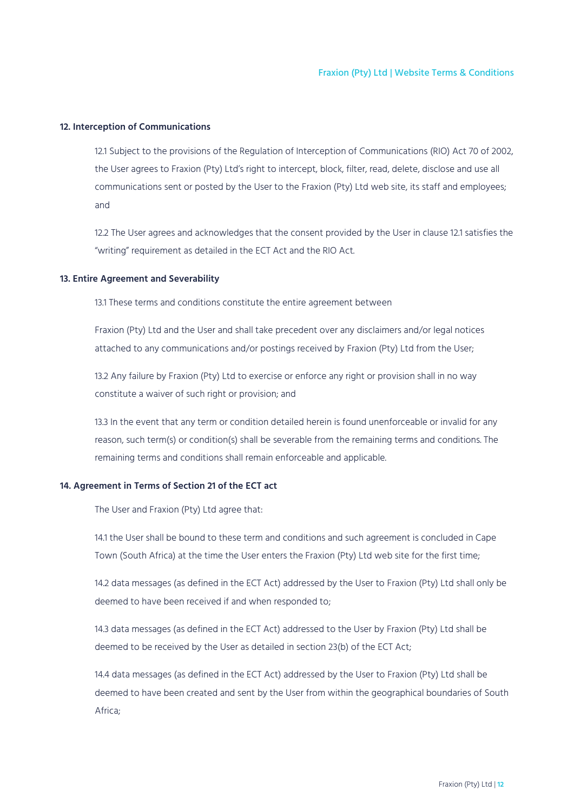# <span id="page-11-0"></span>**12. Interception of Communications**

12.1 Subject to the provisions of the Regulation of Interception of Communications (RIO) Act 70 of 2002, the User agrees to Fraxion (Pty) Ltd's right to intercept, block, filter, read, delete, disclose and use all communications sent or posted by the User to the Fraxion (Pty) Ltd web site, its staff and employees; and

12.2 The User agrees and acknowledges that the consent provided by the User in clause 12.1 satisfies the "writing" requirement as detailed in the ECT Act and the RIO Act.

# <span id="page-11-1"></span>**13. Entire Agreement and Severability**

13.1 These terms and conditions constitute the entire agreement between

Fraxion (Pty) Ltd and the User and shall take precedent over any disclaimers and/or legal notices attached to any communications and/or postings received by Fraxion (Pty) Ltd from the User;

13.2 Any failure by Fraxion (Pty) Ltd to exercise or enforce any right or provision shall in no way constitute a waiver of such right or provision; and

13.3 In the event that any term or condition detailed herein is found unenforceable or invalid for any reason, such term(s) or condition(s) shall be severable from the remaining terms and conditions. The remaining terms and conditions shall remain enforceable and applicable.

# <span id="page-11-2"></span>**14. Agreement in Terms of Section 21 of the ECT act**

The User and Fraxion (Pty) Ltd agree that:

14.1 the User shall be bound to these term and conditions and such agreement is concluded in Cape Town (South Africa) at the time the User enters the Fraxion (Pty) Ltd web site for the first time;

14.2 data messages (as defined in the ECT Act) addressed by the User to Fraxion (Pty) Ltd shall only be deemed to have been received if and when responded to;

14.3 data messages (as defined in the ECT Act) addressed to the User by Fraxion (Pty) Ltd shall be deemed to be received by the User as detailed in section 23(b) of the ECT Act;

14.4 data messages (as defined in the ECT Act) addressed by the User to Fraxion (Pty) Ltd shall be deemed to have been created and sent by the User from within the geographical boundaries of South Africa;